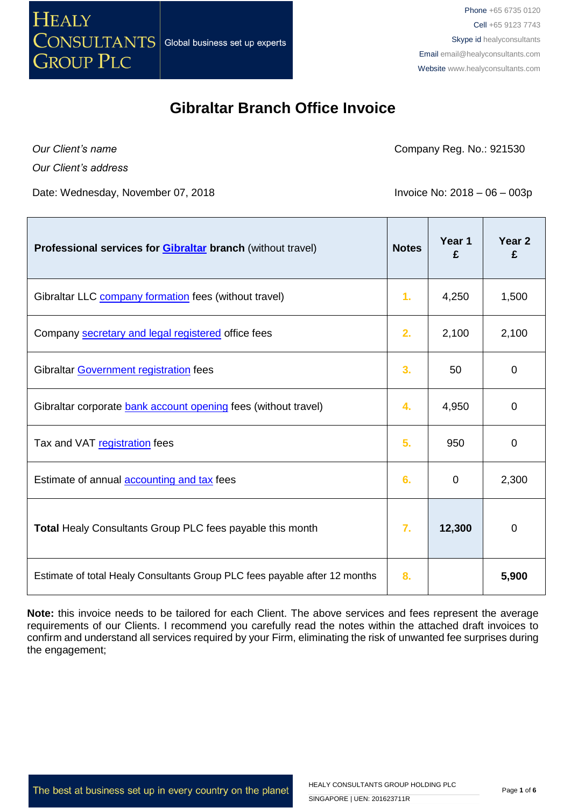

*Our Client's name*

Company Reg. No.: 921530

*Our Client's address*

Date: Wednesday, November 07, 2018 **Invoice No: 2018 - 06 - 003p** 

| Professional services for <b>Gibraltar</b> branch (without travel)         | <b>Notes</b>   | Year 1<br>£ | Year <sub>2</sub><br>£ |
|----------------------------------------------------------------------------|----------------|-------------|------------------------|
| Gibraltar LLC company formation fees (without travel)                      | $\mathbf{1}$ . | 4,250       | 1,500                  |
| Company secretary and legal registered office fees                         | 2.             | 2,100       | 2,100                  |
| Gibraltar Government registration fees                                     | 3.             | 50          | 0                      |
| Gibraltar corporate bank account opening fees (without travel)             | 4.             | 4,950       | 0                      |
| Tax and VAT registration fees                                              | 5.             | 950         | 0                      |
| Estimate of annual <b>accounting and tax</b> fees                          | 6.             | $\mathbf 0$ | 2,300                  |
| <b>Total Healy Consultants Group PLC fees payable this month</b>           | 7.             | 12,300      | $\mathbf 0$            |
| Estimate of total Healy Consultants Group PLC fees payable after 12 months | 8.             |             | 5,900                  |

**Note:** this invoice needs to be tailored for each Client. The above services and fees represent the average requirements of our Clients. I recommend you carefully read the notes within the attached draft invoices to confirm and understand all services required by your Firm, eliminating the risk of unwanted fee surprises during the engagement;

The best at business set up in every country on the planet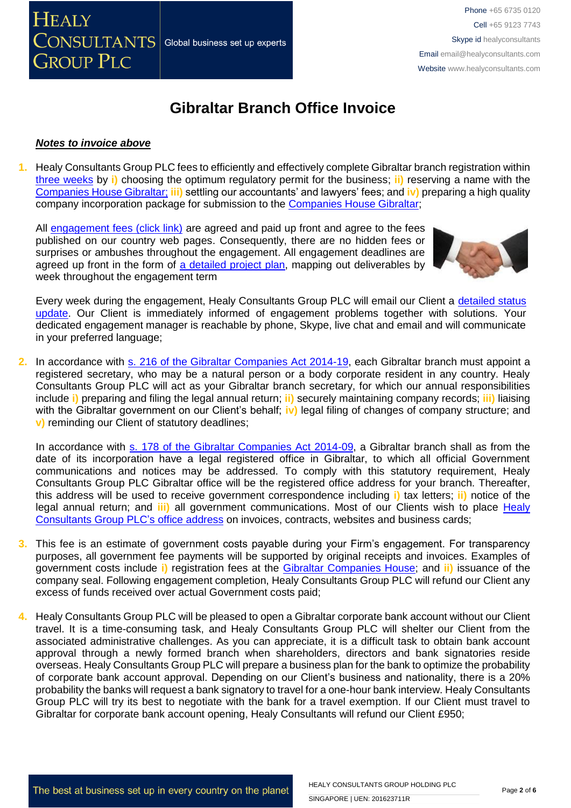

### *Notes to invoice above*

**1.** Healy Consultants Group PLC fees to efficiently and effectively complete Gibraltar branch registration within three [weeks](http://www.healyconsultants.com/gibraltar-company-registration/fees-timelines/#timelines) by **i)** choosing the optimum regulatory permit for the business; **ii)** reserving a name with the [Companies House Gibraltar;](https://www.companieshouse.gi/FBNSel1) **iii)** settling our accountants' and lawyers' fees; and **iv)** preparing a high quality company incorporation package for submission to the [Companies House Gibraltar;](https://www.companieshouse.gi/FBNSel1)

All [engagement fees \(click link\)](http://www.healyconsultants.com/company-registration-fees/) are agreed and paid up front and agree to the fees published on our country web pages. Consequently, there are no hidden fees or surprises or ambushes throughout the engagement. All engagement deadlines are agreed up front in the form of [a detailed project plan,](http://www.healyconsultants.com/index-important-links/example-project-plan/) mapping out deliverables by week throughout the engagement term



Every week during the engagement, Healy Consultants Group PLC will email our Client a [detailed status](http://www.healyconsultants.com/index-important-links/weekly-engagement-status-email/)  [update.](http://www.healyconsultants.com/index-important-links/weekly-engagement-status-email/) Our Client is immediately informed of engagement problems together with solutions. Your dedicated engagement manager is reachable by phone, Skype, live chat and email and will communicate in your preferred language;

**2.** In accordance with [s. 216 of the Gibraltar Companies Act 2014-19,](http://www.gibraltarlaws.gov.gi/articles/2014-19o.pdf) each Gibraltar branch must appoint a registered secretary, who may be a natural person or a body corporate resident in any country. Healy Consultants Group PLC will act as your Gibraltar branch secretary, for which our annual responsibilities include **i)** preparing and filing the legal annual return; **ii)** securely maintaining company records; **iii)** liaising with the Gibraltar government on our Client's behalf; **iv)** legal filing of changes of company structure; and **v)** reminding our Client of statutory deadlines;

In accordance with [s. 178 of the Gibraltar Companies Act 2014-09,](http://www.gibraltarlaws.gov.gi/articles/2014-19o.pdf) a Gibraltar branch shall as from the date of its incorporation have a legal registered office in Gibraltar, to which all official Government communications and notices may be addressed. To comply with this statutory requirement, Healy Consultants Group PLC Gibraltar office will be the registered office address for your branch. Thereafter, this address will be used to receive government correspondence including **i)** tax letters; **ii)** notice of the legal annual return; and **iii)** all government communications. Most of our Clients wish to place [Healy](http://www.healyconsultants.com/corporate-outsourcing-services/company-secretary-and-legal-registered-office/)  [Consultants Group PLC's](http://www.healyconsultants.com/corporate-outsourcing-services/company-secretary-and-legal-registered-office/) office address on invoices, contracts, websites and business cards;

- **3.** This fee is an estimate of government costs payable during your Firm's engagement. For transparency purposes, all government fee payments will be supported by original receipts and invoices. Examples of government costs include **i)** registration fees at the [Gibraltar Companies House;](https://www.companieshouse.gi/publications/C0019.pdf) and **ii)** issuance of the company seal. Following engagement completion, Healy Consultants Group PLC will refund our Client any excess of funds received over actual Government costs paid;
- **4.** Healy Consultants Group PLC will be pleased to open a Gibraltar corporate bank account without our Client travel. It is a time-consuming task, and Healy Consultants Group PLC will shelter our Client from the associated administrative challenges. As you can appreciate, it is a difficult task to obtain bank account approval through a newly formed branch when shareholders, directors and bank signatories reside overseas. Healy Consultants Group PLC will prepare a business plan for the bank to optimize the probability of corporate bank account approval. Depending on our Client's business and nationality, there is a 20% probability the banks will request a bank signatory to travel for a one-hour bank interview. Healy Consultants Group PLC will try its best to negotiate with the bank for a travel exemption. If our Client must travel to Gibraltar for corporate bank account opening, Healy Consultants will refund our Client £950;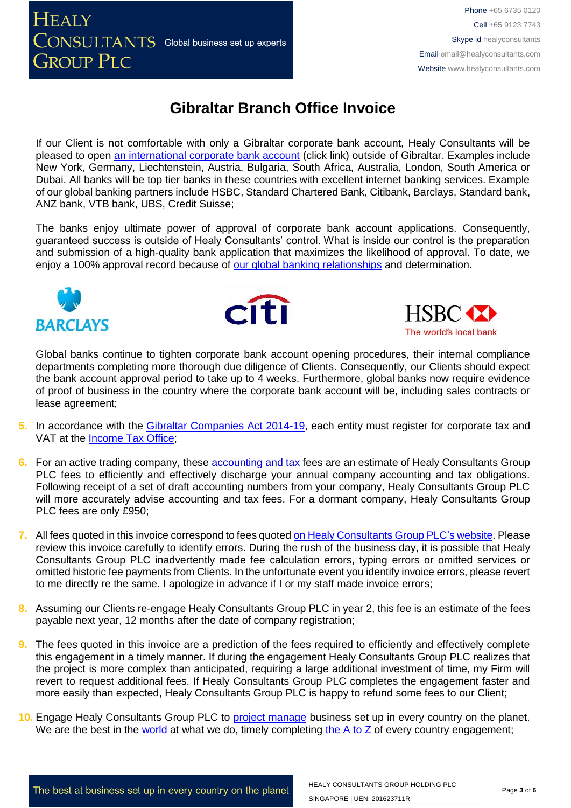### **HEALY**  $\overline{\text{CONSULTANTS}}|$ Global business set up experts **GROUP PLC**

# **Gibraltar Branch Office Invoice**

If our Client is not comfortable with only a Gibraltar corporate bank account, Healy Consultants will be pleased to open [an international corporate bank account](http://www.healyconsultants.com/international-banking/) (click link) outside of Gibraltar. Examples include New York, Germany, Liechtenstein, Austria, Bulgaria, South Africa, Australia, London, South America or Dubai. All banks will be top tier banks in these countries with excellent internet banking services. Example of our global banking partners include HSBC, Standard Chartered Bank, Citibank, Barclays, Standard bank, ANZ bank, VTB bank, UBS, Credit Suisse;

The banks enjoy ultimate power of approval of corporate bank account applications. Consequently, guaranteed success is outside of Healy Consultants' control. What is inside our control is the preparation and submission of a high-quality bank application that maximizes the likelihood of approval. To date, we enjoy a 100% approval record because of [our global banking relationships](http://www.healyconsultants.com/international-banking/corporate-accounts/) and determination.







Global banks continue to tighten corporate bank account opening procedures, their internal compliance departments completing more thorough due diligence of Clients. Consequently, our Clients should expect the bank account approval period to take up to 4 weeks. Furthermore, global banks now require evidence of proof of business in the country where the corporate bank account will be, including sales contracts or lease agreement;

- **5.** In accordance with the [Gibraltar Companies Act 2014-19,](http://www.gibraltarlaws.gov.gi/articles/2014-19o.pdf) each entity must register for corporate tax and VAT at the [Income Tax Office;](https://www.gibraltar.gov.gi/new/income-tax-office)
- **6.** For an active trading company, these [accounting and tax](http://www.healyconsultants.com/gibraltar-company-registration/accounting-legal/) fees are an estimate of Healy Consultants Group PLC fees to efficiently and effectively discharge your annual company accounting and tax obligations. Following receipt of a set of draft accounting numbers from your company, Healy Consultants Group PLC will more accurately advise accounting and tax fees. For a dormant company, Healy Consultants Group PLC fees are only £950;
- **7.** All fees quoted in this invoice correspond to fees quoted [on Healy Consultants Group PLC's](http://www.healyconsultants.com/company-registration-fees/) website. Please review this invoice carefully to identify errors. During the rush of the business day, it is possible that Healy Consultants Group PLC inadvertently made fee calculation errors, typing errors or omitted services or omitted historic fee payments from Clients. In the unfortunate event you identify invoice errors, please revert to me directly re the same. I apologize in advance if I or my staff made invoice errors;
- **8.** Assuming our Clients re-engage Healy Consultants Group PLC in year 2, this fee is an estimate of the fees payable next year, 12 months after the date of company registration;
- **9.** The fees quoted in this invoice are a prediction of the fees required to efficiently and effectively complete this engagement in a timely manner. If during the engagement Healy Consultants Group PLC realizes that the project is more complex than anticipated, requiring a large additional investment of time, my Firm will revert to request additional fees. If Healy Consultants Group PLC completes the engagement faster and more easily than expected, Healy Consultants Group PLC is happy to refund some fees to our Client;
- **10.** Engage Healy Consultants Group PLC to [project manage](http://www.healyconsultants.com/project-manage-engagements/) business set up in every country on the planet. We are the best in the [world](http://www.healyconsultants.com/best-in-the-world/) at what we do, timely completing the  $A$  to  $Z$  of every country engagement;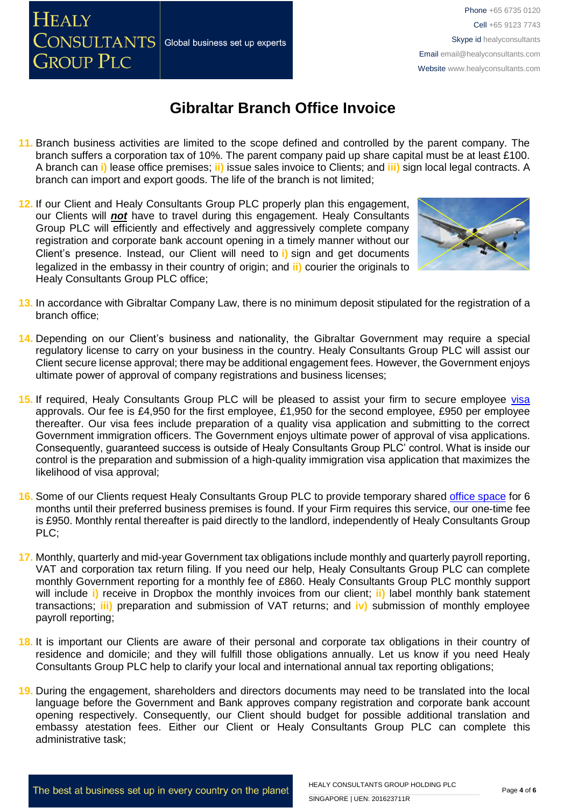- **11.** Branch business activities are limited to the scope defined and controlled by the parent company. The branch suffers a corporation tax of 10%. The parent company paid up share capital must be at least £100. A branch can **i)** lease office premises; **ii)** issue sales invoice to Clients; and **iii)** sign local legal contracts. A branch can import and export goods. The life of the branch is not limited;
- **12.** If our Client and Healy Consultants Group PLC properly plan this engagement, our Clients will *not* have to travel during this engagement. Healy Consultants Group PLC will efficiently and effectively and aggressively complete company registration and corporate bank account opening in a timely manner without our Client's presence. Instead, our Client will need to **i)** sign and get documents legalized in the embassy in their country of origin; and **ii)** courier the originals to Healy Consultants Group PLC office;
- **13.** In accordance with Gibraltar Company Law, there is no minimum deposit stipulated for the registration of a branch office;
- **14.** Depending on our Client's business and nationality, the Gibraltar Government may require a special regulatory license to carry on your business in the country. Healy Consultants Group PLC will assist our Client secure license approval; there may be additional engagement fees. However, the Government enjoys ultimate power of approval of company registrations and business licenses;
- 15. If required, Healy Consultants Group PLC will be pleased to assist your firm to secure employee [visa](http://www.healyconsultants.com/corporate-advisory-services/migration/) approvals. Our fee is £4,950 for the first employee, £1,950 for the second employee, £950 per employee thereafter. Our visa fees include preparation of a quality visa application and submitting to the correct Government immigration officers. The Government enjoys ultimate power of approval of visa applications. Consequently, guaranteed success is outside of Healy Consultants Group PLC' control. What is inside our control is the preparation and submission of a high-quality immigration visa application that maximizes the likelihood of visa approval;
- 16. Some of our Clients request Healy Consultants Group PLC to provide temporary shared [office space](http://www.healyconsultants.com/virtual-office/) for 6 months until their preferred business premises is found. If your Firm requires this service, our one-time fee is £950. Monthly rental thereafter is paid directly to the landlord, independently of Healy Consultants Group PLC;
- **17.** Monthly, quarterly and mid-year Government tax obligations include monthly and quarterly payroll reporting, VAT and corporation tax return filing. If you need our help, Healy Consultants Group PLC can complete monthly Government reporting for a monthly fee of £860. Healy Consultants Group PLC monthly support will include **i)** receive in Dropbox the monthly invoices from our client; **ii)** label monthly bank statement transactions; **iii)** preparation and submission of VAT returns; and **iv)** submission of monthly employee payroll reporting;
- **18.** It is important our Clients are aware of their personal and corporate tax obligations in their country of residence and domicile; and they will fulfill those obligations annually. Let us know if you need Healy Consultants Group PLC help to clarify your local and international annual tax reporting obligations;
- **19.** During the engagement, shareholders and directors documents may need to be translated into the local language before the Government and Bank approves company registration and corporate bank account opening respectively. Consequently, our Client should budget for possible additional translation and embassy atestation fees. Either our Client or Healy Consultants Group PLC can complete this administrative task;

The best at business set up in every country on the planet



Phone +65 6735 0120 Cell +65 9123 7743 Skype id healyconsultants

Email [email@healyconsultants.com](mailto:EMAIL@HEALYCONSULTANTS.COM) Website [www.healyconsultants.com](http://www.healyconsultants.com/)

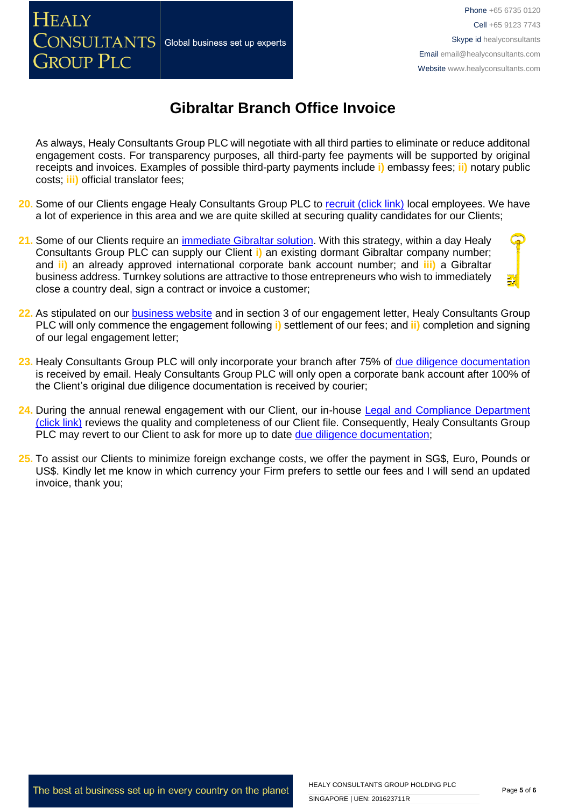#### CONSULTANTS Global business set up experts

**HEALY** 

**GROUP PLC** 

Phone +65 6735 0120 Cell +65 9123 7743 Skype id healyconsultants Email [email@healyconsultants.com](mailto:EMAIL@HEALYCONSULTANTS.COM) Website [www.healyconsultants.com](http://www.healyconsultants.com/)

## **Gibraltar Branch Office Invoice**

As always, Healy Consultants Group PLC will negotiate with all third parties to eliminate or reduce additonal engagement costs. For transparency purposes, all third-party fee payments will be supported by original receipts and invoices. Examples of possible third-party payments include **i)** embassy fees; **ii)** notary public costs; **iii)** official translator fees;

- **20.** Some of our Clients engage Healy Consultants Group PLC to [recruit \(click link\)](http://www.healyconsultants.com/corporate-outsourcing-services/how-we-help-our-clients-recruit-quality-employees/) local employees. We have a lot of experience in this area and we are quite skilled at securing quality candidates for our Clients;
- 21. Some of our Clients require an *immediate Gibraltar solution*. With this strategy, within a day Healy Consultants Group PLC can supply our Client **i)** an existing dormant Gibraltar company number; and **ii)** an already approved international corporate bank account number; and **iii)** a Gibraltar business address. Turnkey solutions are attractive to those entrepreneurs who wish to immediately close a country deal, sign a contract or invoice a customer;
- **22.** As stipulated on our [business website](http://www.healyconsultants.com/) and in section 3 of our engagement letter, Healy Consultants Group PLC will only commence the engagement following **i)** settlement of our fees; and **ii)** completion and signing of our legal engagement letter;
- **23.** Healy Consultants Group PLC will only incorporate your branch after 75% of [due diligence documentation](http://www.healyconsultants.com/due-diligence/) is received by email. Healy Consultants Group PLC will only open a corporate bank account after 100% of the Client's original due diligence documentation is received by courier;
- **24.** During the annual renewal engagement with our Client, our in-house [Legal and Compliance Department](http://www.healyconsultants.com/about-us/key-personnel/cai-xin-profile/)  [\(click link\)](http://www.healyconsultants.com/about-us/key-personnel/cai-xin-profile/) reviews the quality and completeness of our Client file. Consequently, Healy Consultants Group PLC may revert to our Client to ask for more up to date [due diligence documentation;](http://www.healyconsultants.com/due-diligence/)
- **25.** To assist our Clients to minimize foreign exchange costs, we offer the payment in SG\$, Euro, Pounds or US\$. Kindly let me know in which currency your Firm prefers to settle our fees and I will send an updated invoice, thank you;